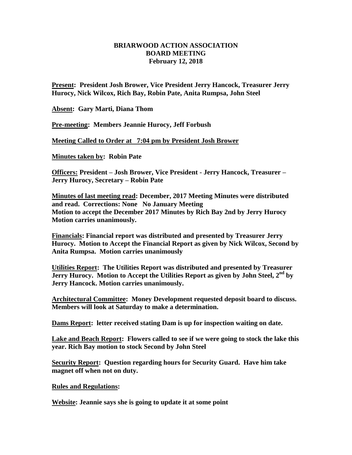## **BRIARWOOD ACTION ASSOCIATION BOARD MEETING February 12, 2018**

**Present: President Josh Brower, Vice President Jerry Hancock, Treasurer Jerry Hurocy, Nick Wilcox, Rich Bay, Robin Pate, Anita Rumpsa, John Steel**

**Absent: Gary Marti, Diana Thom**

**Pre-meeting: Members Jeannie Hurocy, Jeff Forbush**

**Meeting Called to Order at 7:04 pm by President Josh Brower**

**Minutes taken by: Robin Pate**

**Officers: President – Josh Brower, Vice President - Jerry Hancock, Treasurer – Jerry Hurocy, Secretary – Robin Pate**

**Minutes of last meeting read: December, 2017 Meeting Minutes were distributed and read. Corrections: None No January Meeting Motion to accept the December 2017 Minutes by Rich Bay 2nd by Jerry Hurocy Motion carries unanimously.**

**Financials: Financial report was distributed and presented by Treasurer Jerry Hurocy. Motion to Accept the Financial Report as given by Nick Wilcox, Second by Anita Rumpsa. Motion carries unanimously**

**Utilities Report: The Utilities Report was distributed and presented by Treasurer Jerry Hurocy. Motion to Accept the Utilities Report as given by John Steel, 2 nd by Jerry Hancock. Motion carries unanimously.**

**Architectural Committee: Money Development requested deposit board to discuss. Members will look at Saturday to make a determination.**

**Dams Report: letter received stating Dam is up for inspection waiting on date.**

**Lake and Beach Report: Flowers called to see if we were going to stock the lake this year. Rich Bay motion to stock Second by John Steel**

**Security Report: Question regarding hours for Security Guard. Have him take magnet off when not on duty.**

**Rules and Regulations:** 

**Website: Jeannie says she is going to update it at some point**